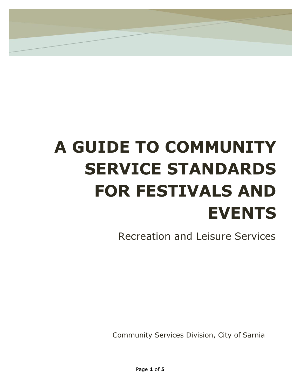# **A GUIDE TO COMMUNITY SERVICE STANDARDS FOR FESTIVALS AND EVENTS**

Recreation and Leisure Services

Community Services Division, City of Sarnia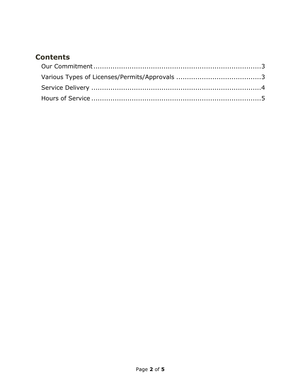#### <span id="page-1-1"></span><span id="page-1-0"></span>**Contents**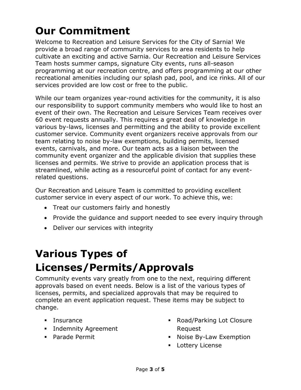# **Our Commitment**

Welcome to Recreation and Leisure Services for the City of Sarnia! We provide a broad range of community services to area residents to help cultivate an exciting and active Sarnia. Our Recreation and Leisure Services Team hosts summer camps, signature City events, runs all-season programming at our recreation centre, and offers programming at our other recreational amenities including our splash pad, pool, and ice rinks. All of our services provided are low cost or free to the public.

While our team organizes year-round activities for the community, it is also our responsibility to support community members who would like to host an event of their own. The Recreation and Leisure Services Team receives over 60 event requests annually. This requires a great deal of knowledge in various by-laws, licenses and permitting and the ability to provide excellent customer service. Community event organizers receive approvals from our team relating to noise by-law exemptions, building permits, licensed events, carnivals, and more. Our team acts as a liaison between the community event organizer and the applicable division that supplies these licenses and permits. We strive to provide an application process that is streamlined, while acting as a resourceful point of contact for any eventrelated questions.

Our Recreation and Leisure Team is committed to providing excellent customer service in every aspect of our work. To achieve this, we:

- Treat our customers fairly and honestly
- Provide the quidance and support needed to see every inquiry through
- Deliver our services with integrity

# **Various Types of Licenses/Permits/Approvals**

Community events vary greatly from one to the next, requiring different approvals based on event needs. Below is a list of the various types of licenses, permits, and specialized approvals that may be required to complete an event application request. These items may be subject to change.

- **Insurance**
- **Indemnity Agreement**
- Parade Permit
- Road/Parking Lot Closure Request
- **Noise By-Law Exemption**
- **Lottery License**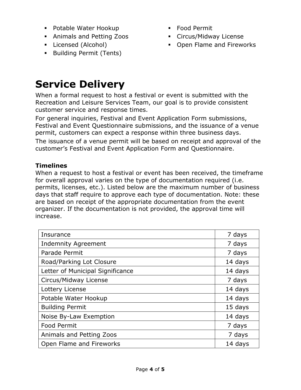- Potable Water Hookup
- Animals and Petting Zoos
- Licensed (Alcohol)
- **Building Permit (Tents)**
- Food Permit
- Circus/Midway License
- Open Flame and Fireworks

### **Service Delivery**

When a formal request to host a festival or event is submitted with the Recreation and Leisure Services Team, our goal is to provide consistent customer service and response times.

For general inquiries, Festival and Event Application Form submissions, Festival and Event Questionnaire submissions, and the issuance of a venue permit, customers can expect a response within three business days.

The issuance of a venue permit will be based on receipt and approval of the customer's Festival and Event Application Form and Questionnaire.

#### **Timelines**

When a request to host a festival or event has been received, the timeframe for overall approval varies on the type of documentation required (i.e. permits, licenses, etc.). Listed below are the maximum number of business days that staff require to approve each type of documentation. Note: these are based on receipt of the appropriate documentation from the event organizer. If the documentation is not provided, the approval time will increase.

| Insurance                        | 7 days  |
|----------------------------------|---------|
| <b>Indemnity Agreement</b>       | 7 days  |
| Parade Permit                    | 7 days  |
| Road/Parking Lot Closure         | 14 days |
| Letter of Municipal Significance | 14 days |
| Circus/Midway License            | 7 days  |
| Lottery License                  | 14 days |
| Potable Water Hookup             | 14 days |
| <b>Building Permit</b>           | 15 days |
| Noise By-Law Exemption           | 14 days |
| <b>Food Permit</b>               | 7 days  |
| Animals and Petting Zoos         | 7 days  |
| Open Flame and Fireworks         | 14 days |